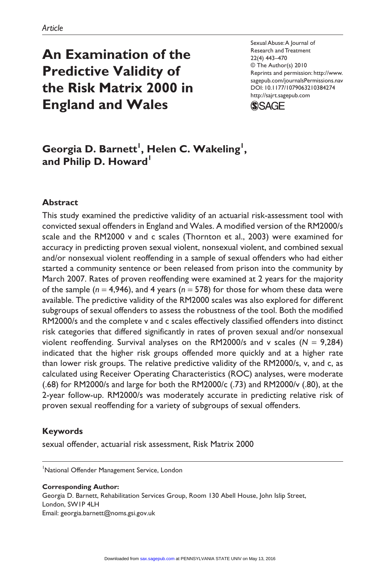# **An Examination of the Predictive Validity of the Risk Matrix 2000 in England and Wales**

Sexual Abuse: A Journal of Research and Treatment 22(4) 443–470 © The Author(s) 2010 Reprints and permission: http://www. sagepub.com/journalsPermissions.nav DOI: 10.1177/1079063210384274 http://sajrt.sagepub.com



# $\boldsymbol{\mathsf{Georgia\ D.\ Barnett}^{\mathsf{I}}},$  Helen C. Wakeling<sup>1</sup>, and Philip D. Howard<sup>1</sup>

#### **Abstract**

This study examined the predictive validity of an actuarial risk-assessment tool with convicted sexual offenders in England and Wales. A modified version of the RM2000/s scale and the RM2000 v and c scales (Thornton et al., 2003) were examined for accuracy in predicting proven sexual violent, nonsexual violent, and combined sexual and/or nonsexual violent reoffending in a sample of sexual offenders who had either started a community sentence or been released from prison into the community by March 2007. Rates of proven reoffending were examined at 2 years for the majority of the sample  $(n = 4,946)$ , and 4 years  $(n = 578)$  for those for whom these data were available. The predictive validity of the RM2000 scales was also explored for different subgroups of sexual offenders to assess the robustness of the tool. Both the modified RM2000/s and the complete v and c scales effectively classified offenders into distinct risk categories that differed significantly in rates of proven sexual and/or nonsexual violent reoffending. Survival analyses on the RM2000/s and v scales (*N* = 9,284) indicated that the higher risk groups offended more quickly and at a higher rate than lower risk groups. The relative predictive validity of the RM2000/s, v, and c, as calculated using Receiver Operating Characteristics (ROC) analyses, were moderate  $(.68)$  for RM2000/s and large for both the RM2000/c  $(.73)$  and RM2000/v  $(.80)$ , at the 2-year follow-up. RM2000/s was moderately accurate in predicting relative risk of proven sexual reoffending for a variety of subgroups of sexual offenders.

#### **Keywords**

sexual offender, actuarial risk assessment, Risk Matrix 2000

1 National Offender Management Service, London

**Corresponding Author:** Georgia D. Barnett, Rehabilitation Services Group, Room 130 Abell House, John Islip Street, London, SW1P 4LH Email: georgia.barnett@noms.gsi.gov.uk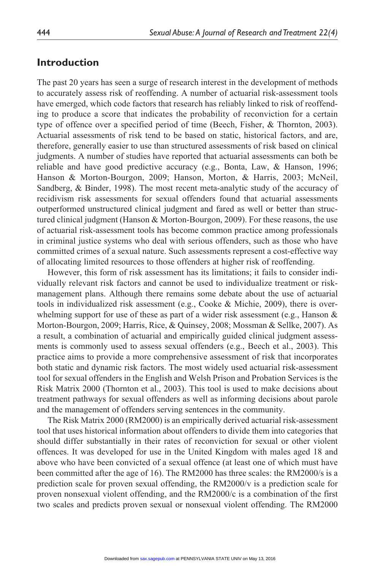## **Introduction**

The past 20 years has seen a surge of research interest in the development of methods to accurately assess risk of reoffending. A number of actuarial risk-assessment tools have emerged, which code factors that research has reliably linked to risk of reoffending to produce a score that indicates the probability of reconviction for a certain type of offence over a specified period of time (Beech, Fisher, & Thornton, 2003). Actuarial assessments of risk tend to be based on static, historical factors, and are, therefore, generally easier to use than structured assessments of risk based on clinical judgments. A number of studies have reported that actuarial assessments can both be reliable and have good predictive accuracy (e.g., Bonta, Law, & Hanson, 1996; Hanson & Morton-Bourgon, 2009; Hanson, Morton, & Harris, 2003; McNeil, Sandberg, & Binder, 1998). The most recent meta-analytic study of the accuracy of recidivism risk assessments for sexual offenders found that actuarial assessments outperformed unstructured clinical judgment and fared as well or better than structured clinical judgment (Hanson & Morton-Bourgon, 2009). For these reasons, the use of actuarial risk-assessment tools has become common practice among professionals in criminal justice systems who deal with serious offenders, such as those who have committed crimes of a sexual nature. Such assessments represent a cost-effective way of allocating limited resources to those offenders at higher risk of reoffending.

However, this form of risk assessment has its limitations; it fails to consider individually relevant risk factors and cannot be used to individualize treatment or riskmanagement plans. Although there remains some debate about the use of actuarial tools in individualized risk assessment (e.g., Cooke & Michie, 2009), there is overwhelming support for use of these as part of a wider risk assessment (e.g., Hanson & Morton-Bourgon, 2009; Harris, Rice, & Quinsey, 2008; Mossman & Sellke, 2007). As a result, a combination of actuarial and empirically guided clinical judgment assessments is commonly used to assess sexual offenders (e.g., Beech et al., 2003). This practice aims to provide a more comprehensive assessment of risk that incorporates both static and dynamic risk factors. The most widely used actuarial risk-assessment tool for sexual offenders in the English and Welsh Prison and Probation Services is the Risk Matrix 2000 (Thornton et al., 2003). This tool is used to make decisions about treatment pathways for sexual offenders as well as informing decisions about parole and the management of offenders serving sentences in the community.

The Risk Matrix 2000 (RM2000) is an empirically derived actuarial risk-assessment tool that uses historical information about offenders to divide them into categories that should differ substantially in their rates of reconviction for sexual or other violent offences. It was developed for use in the United Kingdom with males aged 18 and above who have been convicted of a sexual offence (at least one of which must have been committed after the age of 16). The RM2000 has three scales: the RM2000/s is a prediction scale for proven sexual offending, the RM2000/v is a prediction scale for proven nonsexual violent offending, and the RM2000/c is a combination of the first two scales and predicts proven sexual or nonsexual violent offending. The RM2000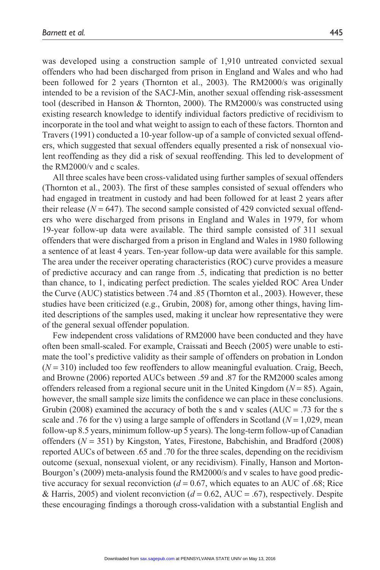was developed using a construction sample of 1,910 untreated convicted sexual offenders who had been discharged from prison in England and Wales and who had been followed for 2 years (Thornton et al., 2003). The RM2000/s was originally intended to be a revision of the SACJ-Min, another sexual offending risk-assessment tool (described in Hanson & Thornton, 2000). The RM2000/s was constructed using existing research knowledge to identify individual factors predictive of recidivism to incorporate in the tool and what weight to assign to each of these factors. Thornton and Travers (1991) conducted a 10-year follow-up of a sample of convicted sexual offenders, which suggested that sexual offenders equally presented a risk of nonsexual violent reoffending as they did a risk of sexual reoffending. This led to development of the RM2000/v and c scales.

All three scales have been cross-validated using further samples of sexual offenders (Thornton et al., 2003). The first of these samples consisted of sexual offenders who had engaged in treatment in custody and had been followed for at least 2 years after their release  $(N = 647)$ . The second sample consisted of 429 convicted sexual offenders who were discharged from prisons in England and Wales in 1979, for whom 19-year follow-up data were available. The third sample consisted of 311 sexual offenders that were discharged from a prison in England and Wales in 1980 following a sentence of at least 4 years. Ten-year follow-up data were available for this sample. The area under the receiver operating characteristics (ROC) curve provides a measure of predictive accuracy and can range from .5, indicating that prediction is no better than chance, to 1, indicating perfect prediction. The scales yielded ROC Area Under the Curve (AUC) statistics between .74 and .85 (Thornton et al., 2003). However, these studies have been criticized (e.g., Grubin, 2008) for, among other things, having limited descriptions of the samples used, making it unclear how representative they were of the general sexual offender population.

Few independent cross validations of RM2000 have been conducted and they have often been small-scaled. For example, Craissati and Beech (2005) were unable to estimate the tool's predictive validity as their sample of offenders on probation in London  $(N = 310)$  included too few reoffenders to allow meaningful evaluation. Craig, Beech, and Browne (2006) reported AUCs between .59 and .87 for the RM2000 scales among offenders released from a regional secure unit in the United Kingdom  $(N = 85)$ . Again, however, the small sample size limits the confidence we can place in these conclusions. Grubin (2008) examined the accuracy of both the s and v scales ( $AUC = .73$  for the s scale and .76 for the v) using a large sample of offenders in Scotland ( $N = 1,029$ , mean follow-up 8.5 years, minimum follow-up 5 years). The long-term follow-up of Canadian offenders (*N* = 351) by Kingston, Yates, Firestone, Babchishin, and Bradford (2008) reported AUCs of between .65 and .70 for the three scales, depending on the recidivism outcome (sexual, nonsexual violent, or any recidivism). Finally, Hanson and Morton-Bourgon's (2009) meta-analysis found the RM2000/s and v scales to have good predictive accuracy for sexual reconviction  $(d = 0.67$ , which equates to an AUC of .68; Rice & Harris, 2005) and violent reconviction  $(d = 0.62, \text{ AUC} = .67)$ , respectively. Despite these encouraging findings a thorough cross-validation with a substantial English and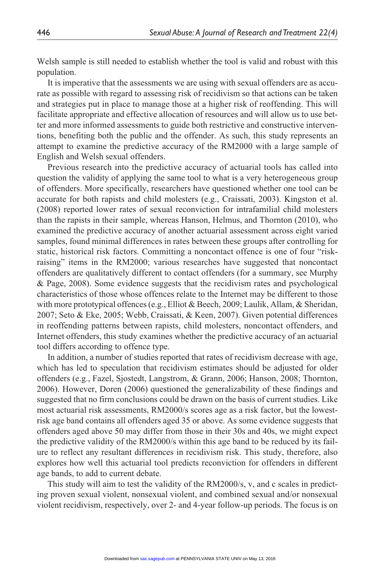Welsh sample is still needed to establish whether the tool is valid and robust with this population.

It is imperative that the assessments we are using with sexual offenders are as accurate as possible with regard to assessing risk of recidivism so that actions can be taken and strategies put in place to manage those at a higher risk of reoffending. This will facilitate appropriate and effective allocation of resources and will allow us to use better and more informed assessments to guide both restrictive and constructive interventions, benefiting both the public and the offender. As such, this study represents an attempt to examine the predictive accuracy of the RM2000 with a large sample of English and Welsh sexual offenders.

Previous research into the predictive accuracy of actuarial tools has called into question the validity of applying the same tool to what is a very heterogeneous group of offenders. More specifically, researchers have questioned whether one tool can be accurate for both rapists and child molesters (e.g., Craissati, 2003). Kingston et al. (2008) reported lower rates of sexual reconviction for intrafamilial child molesters than the rapists in their sample, whereas Hanson, Helmus, and Thornton (2010), who examined the predictive accuracy of another actuarial assessment across eight varied samples, found minimal differences in rates between these groups after controlling for static, historical risk factors. Committing a noncontact offence is one of four "riskraising" items in the RM2000; various researches have suggested that noncontact offenders are qualitatively different to contact offenders (for a summary, see Murphy & Page, 2008). Some evidence suggests that the recidivism rates and psychological characteristics of those whose offences relate to the Internet may be different to those with more prototypical offences (e.g., Elliot & Beech, 2009; Laulik, Allam, & Sheridan, 2007; Seto & Eke, 2005; Webb, Craissati, & Keen, 2007). Given potential differences in reoffending patterns between rapists, child molesters, noncontact offenders, and Internet offenders, this study examines whether the predictive accuracy of an actuarial tool differs according to offence type.

In addition, a number of studies reported that rates of recidivism decrease with age, which has led to speculation that recidivism estimates should be adjusted for older offenders (e.g., Fazel, Sjostedt, Langstrom, & Grann, 2006; Hanson, 2008; Thornton, 2006). However, Doren (2006) questioned the generalizability of these findings and suggested that no firm conclusions could be drawn on the basis of current studies. Like most actuarial risk assessments, RM2000/s scores age as a risk factor, but the lowestrisk age band contains all offenders aged 35 or above. As some evidence suggests that offenders aged above 50 may differ from those in their 30s and 40s, we might expect the predictive validity of the RM2000/s within this age band to be reduced by its failure to reflect any resultant differences in recidivism risk. This study, therefore, also explores how well this actuarial tool predicts reconviction for offenders in different age bands, to add to current debate.

This study will aim to test the validity of the RM2000/s, v, and c scales in predicting proven sexual violent, nonsexual violent, and combined sexual and/or nonsexual violent recidivism, respectively, over 2- and 4-year follow-up periods. The focus is on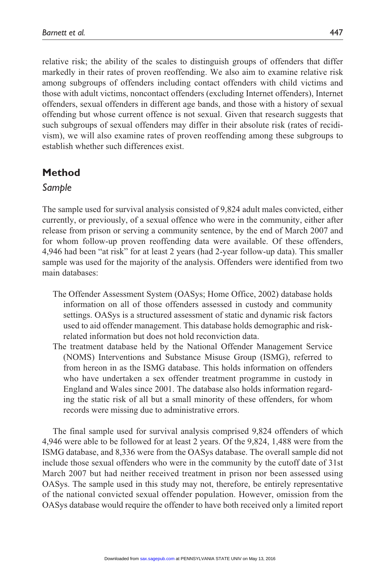relative risk; the ability of the scales to distinguish groups of offenders that differ markedly in their rates of proven reoffending. We also aim to examine relative risk among subgroups of offenders including contact offenders with child victims and those with adult victims, noncontact offenders (excluding Internet offenders), Internet offenders, sexual offenders in different age bands, and those with a history of sexual offending but whose current offence is not sexual. Given that research suggests that such subgroups of sexual offenders may differ in their absolute risk (rates of recidivism), we will also examine rates of proven reoffending among these subgroups to establish whether such differences exist.

# **Method**

### *Sample*

The sample used for survival analysis consisted of 9,824 adult males convicted, either currently, or previously, of a sexual offence who were in the community, either after release from prison or serving a community sentence, by the end of March 2007 and for whom follow-up proven reoffending data were available. Of these offenders, 4,946 had been "at risk" for at least 2 years (had 2-year follow-up data). This smaller sample was used for the majority of the analysis. Offenders were identified from two main databases:

- The Offender Assessment System (OASys; Home Office, 2002) database holds information on all of those offenders assessed in custody and community settings. OASys is a structured assessment of static and dynamic risk factors used to aid offender management. This database holds demographic and riskrelated information but does not hold reconviction data.
- The treatment database held by the National Offender Management Service (NOMS) Interventions and Substance Misuse Group (ISMG), referred to from hereon in as the ISMG database. This holds information on offenders who have undertaken a sex offender treatment programme in custody in England and Wales since 2001. The database also holds information regarding the static risk of all but a small minority of these offenders, for whom records were missing due to administrative errors.

The final sample used for survival analysis comprised 9,824 offenders of which 4,946 were able to be followed for at least 2 years. Of the 9,824, 1,488 were from the ISMG database, and 8,336 were from the OASys database. The overall sample did not include those sexual offenders who were in the community by the cutoff date of 31st March 2007 but had neither received treatment in prison nor been assessed using OASys. The sample used in this study may not, therefore, be entirely representative of the national convicted sexual offender population. However, omission from the OASys database would require the offender to have both received only a limited report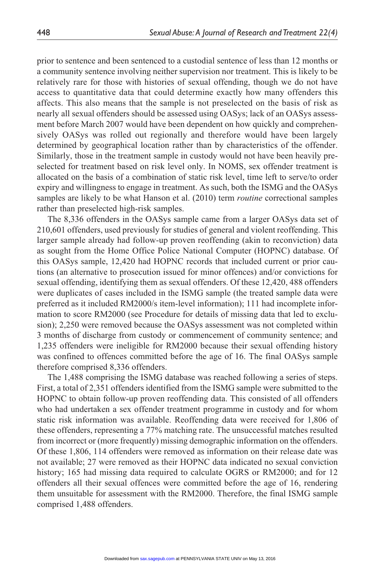prior to sentence and been sentenced to a custodial sentence of less than 12 months or a community sentence involving neither supervision nor treatment. This is likely to be relatively rare for those with histories of sexual offending, though we do not have access to quantitative data that could determine exactly how many offenders this affects. This also means that the sample is not preselected on the basis of risk as nearly all sexual offenders should be assessed using OASys; lack of an OASys assessment before March 2007 would have been dependent on how quickly and comprehensively OASys was rolled out regionally and therefore would have been largely determined by geographical location rather than by characteristics of the offender. Similarly, those in the treatment sample in custody would not have been heavily preselected for treatment based on risk level only. In NOMS, sex offender treatment is allocated on the basis of a combination of static risk level, time left to serve/to order expiry and willingness to engage in treatment. As such, both the ISMG and the OASys samples are likely to be what Hanson et al. (2010) term *routine* correctional samples rather than preselected high-risk samples.

The 8,336 offenders in the OASys sample came from a larger OASys data set of 210,601 offenders, used previously for studies of general and violent reoffending. This larger sample already had follow-up proven reoffending (akin to reconviction) data as sought from the Home Office Police National Computer (HOPNC) database. Of this OASys sample, 12,420 had HOPNC records that included current or prior cautions (an alternative to prosecution issued for minor offences) and/or convictions for sexual offending, identifying them as sexual offenders. Of these 12,420, 488 offenders were duplicates of cases included in the ISMG sample (the treated sample data were preferred as it included RM2000/s item-level information); 111 had incomplete information to score RM2000 (see Procedure for details of missing data that led to exclusion); 2,250 were removed because the OASys assessment was not completed within 3 months of discharge from custody or commencement of community sentence; and 1,235 offenders were ineligible for RM2000 because their sexual offending history was confined to offences committed before the age of 16. The final OASys sample therefore comprised 8,336 offenders.

The 1,488 comprising the ISMG database was reached following a series of steps. First, a total of 2,351 offenders identified from the ISMG sample were submitted to the HOPNC to obtain follow-up proven reoffending data. This consisted of all offenders who had undertaken a sex offender treatment programme in custody and for whom static risk information was available. Reoffending data were received for 1,806 of these offenders, representing a 77% matching rate. The unsuccessful matches resulted from incorrect or (more frequently) missing demographic information on the offenders. Of these 1,806, 114 offenders were removed as information on their release date was not available; 27 were removed as their HOPNC data indicated no sexual conviction history; 165 had missing data required to calculate OGRS or RM2000; and for 12 offenders all their sexual offences were committed before the age of 16, rendering them unsuitable for assessment with the RM2000. Therefore, the final ISMG sample comprised 1,488 offenders.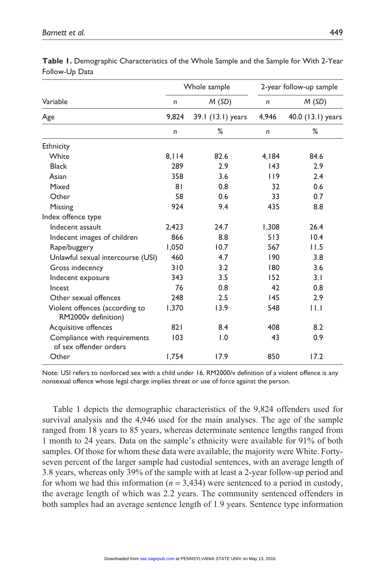|                                                        |              | 2-year follow-up sample<br>Whole sample |              |                   |
|--------------------------------------------------------|--------------|-----------------------------------------|--------------|-------------------|
| Variable                                               | n            | M(SD)                                   | n            | M(SD)             |
| Age                                                    | 9,824        | 39.1 (13.1) years                       | 4,946        | 40.0 (13.1) years |
|                                                        | $\mathsf{n}$ | %                                       | $\mathsf{n}$ | ℅                 |
| Ethnicity                                              |              |                                         |              |                   |
| White                                                  | 8,114        | 82.6                                    | 4,184        | 84.6              |
| <b>Black</b>                                           | 289          | 2.9                                     | 143          | 2.9               |
| Asian                                                  | 358          | 3.6                                     | 119          | 2.4               |
| Mixed                                                  | 81           | 0.8                                     | 32           | 0.6               |
| Other                                                  | 58           | 0.6                                     | 33           | 0.7               |
| Missing                                                | 924          | 9.4                                     | 435          | 8.8               |
| Index offence type                                     |              |                                         |              |                   |
| Indecent assault                                       | 2,423        | 24.7                                    | 1,308        | 26.4              |
| Indecent images of children                            | 866          | 8.8                                     | 513          | 10.4              |
| Rape/buggery                                           | 1,050        | 10.7                                    | 567          | 11.5              |
| Unlawful sexual intercourse (USI)                      | 460          | 4.7                                     | 190          | 3.8               |
| Gross indecency                                        | 310          | 3.2                                     | 180          | 3.6               |
| Indecent exposure                                      | 343          | 3.5                                     | 152          | 3.1               |
| Incest                                                 | 76           | 0.8                                     | 42           | 0.8               |
| Other sexual offences                                  | 248          | 2.5                                     | 145          | 2.9               |
| Violent offences (according to<br>RM2000v definition)  | 1,370        | 13.9                                    | 548          | 11.1              |
| Acquisitive offences                                   | 821          | 8.4                                     | 408          | 8.2               |
| Compliance with requirements<br>of sex offender orders | 103          | 1.0                                     | 43           | 0.9               |
| Other                                                  | 1.754        | 17.9                                    | 850          | 17.2              |

**Table 1.** Demographic Characteristics of the Whole Sample and the Sample for With 2-Year Follow-Up Data

Note: USI refers to nonforced sex with a child under 16. RM2000/v definition of a violent offence is any nonsexual offence whose legal charge implies threat or use of force against the person.

Table 1 depicts the demographic characteristics of the 9,824 offenders used for survival analysis and the 4,946 used for the main analyses. The age of the sample ranged from 18 years to 85 years, whereas determinate sentence lengths ranged from 1 month to 24 years. Data on the sample's ethnicity were available for 91% of both samples. Of those for whom these data were available, the majority were White. Fortyseven percent of the larger sample had custodial sentences, with an average length of 3.8 years, whereas only 39% of the sample with at least a 2-year follow-up period and for whom we had this information  $(n = 3,434)$  were sentenced to a period in custody, the average length of which was 2.2 years. The community sentenced offenders in both samples had an average sentence length of 1.9 years. Sentence type information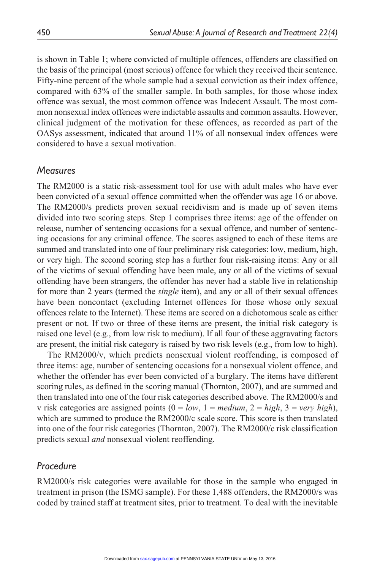is shown in Table 1; where convicted of multiple offences, offenders are classified on the basis of the principal (most serious) offence for which they received their sentence. Fifty-nine percent of the whole sample had a sexual conviction as their index offence, compared with 63% of the smaller sample. In both samples, for those whose index offence was sexual, the most common offence was Indecent Assault. The most common nonsexual index offences were indictable assaults and common assaults. However, clinical judgment of the motivation for these offences, as recorded as part of the OASys assessment, indicated that around 11% of all nonsexual index offences were considered to have a sexual motivation.

#### *Measures*

The RM2000 is a static risk-assessment tool for use with adult males who have ever been convicted of a sexual offence committed when the offender was age 16 or above. The RM2000/s predicts proven sexual recidivism and is made up of seven items divided into two scoring steps. Step 1 comprises three items: age of the offender on release, number of sentencing occasions for a sexual offence, and number of sentencing occasions for any criminal offence. The scores assigned to each of these items are summed and translated into one of four preliminary risk categories: low, medium, high, or very high. The second scoring step has a further four risk-raising items: Any or all of the victims of sexual offending have been male, any or all of the victims of sexual offending have been strangers, the offender has never had a stable live in relationship for more than 2 years (termed the *single* item), and any or all of their sexual offences have been noncontact (excluding Internet offences for those whose only sexual offences relate to the Internet). These items are scored on a dichotomous scale as either present or not. If two or three of these items are present, the initial risk category is raised one level (e.g., from low risk to medium). If all four of these aggravating factors are present, the initial risk category is raised by two risk levels (e.g., from low to high).

The RM2000/v, which predicts nonsexual violent reoffending, is composed of three items: age, number of sentencing occasions for a nonsexual violent offence, and whether the offender has ever been convicted of a burglary. The items have different scoring rules, as defined in the scoring manual (Thornton, 2007), and are summed and then translated into one of the four risk categories described above. The RM2000/s and v risk categories are assigned points  $(0 = low, 1 = medium, 2 = high, 3 = very high)$ , which are summed to produce the RM2000/c scale score. This score is then translated into one of the four risk categories (Thornton, 2007). The RM2000/c risk classification predicts sexual *and* nonsexual violent reoffending.

#### *Procedure*

RM2000/s risk categories were available for those in the sample who engaged in treatment in prison (the ISMG sample). For these 1,488 offenders, the RM2000/s was coded by trained staff at treatment sites, prior to treatment. To deal with the inevitable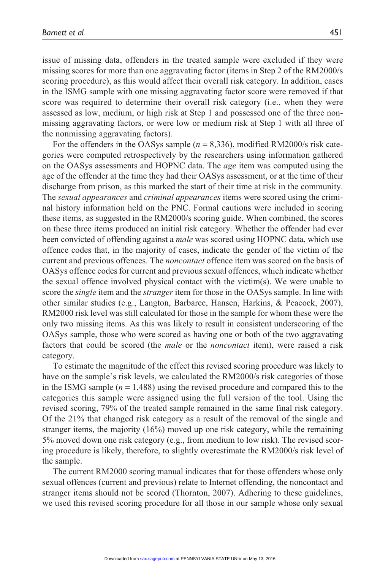issue of missing data, offenders in the treated sample were excluded if they were missing scores for more than one aggravating factor (items in Step 2 of the RM2000/s scoring procedure), as this would affect their overall risk category. In addition, cases in the ISMG sample with one missing aggravating factor score were removed if that score was required to determine their overall risk category (i.e., when they were assessed as low, medium, or high risk at Step 1 and possessed one of the three nonmissing aggravating factors, or were low or medium risk at Step 1 with all three of the nonmissing aggravating factors).

For the offenders in the OASys sample ( $n = 8,336$ ), modified RM2000/s risk categories were computed retrospectively by the researchers using information gathered on the OASys assessments and HOPNC data. The *age* item was computed using the age of the offender at the time they had their OASys assessment, or at the time of their discharge from prison, as this marked the start of their time at risk in the community. The *sexual appearances* and *criminal appearances* items were scored using the criminal history information held on the PNC. Formal cautions were included in scoring these items, as suggested in the RM2000/s scoring guide. When combined, the scores on these three items produced an initial risk category. Whether the offender had ever been convicted of offending against a *male* was scored using HOPNC data, which use offence codes that, in the majority of cases, indicate the gender of the victim of the current and previous offences. The *noncontact* offence item was scored on the basis of OASys offence codes for current and previous sexual offences, which indicate whether the sexual offence involved physical contact with the victim(s). We were unable to score the *single* item and the *stranger* item for those in the OASys sample. In line with other similar studies (e.g., Langton, Barbaree, Hansen, Harkins, & Peacock, 2007), RM2000 risk level was still calculated for those in the sample for whom these were the only two missing items. As this was likely to result in consistent underscoring of the OASys sample, those who were scored as having one or both of the two aggravating factors that could be scored (the *male* or the *noncontact* item), were raised a risk category.

To estimate the magnitude of the effect this revised scoring procedure was likely to have on the sample's risk levels, we calculated the RM2000/s risk categories of those in the ISMG sample (*n* = 1,488) using the revised procedure and compared this to the categories this sample were assigned using the full version of the tool. Using the revised scoring, 79% of the treated sample remained in the same final risk category. Of the 21% that changed risk category as a result of the removal of the single and stranger items, the majority (16%) moved up one risk category, while the remaining 5% moved down one risk category (e.g., from medium to low risk). The revised scoring procedure is likely, therefore, to slightly overestimate the RM2000/s risk level of the sample.

The current RM2000 scoring manual indicates that for those offenders whose only sexual offences (current and previous) relate to Internet offending, the noncontact and stranger items should not be scored (Thornton, 2007). Adhering to these guidelines, we used this revised scoring procedure for all those in our sample whose only sexual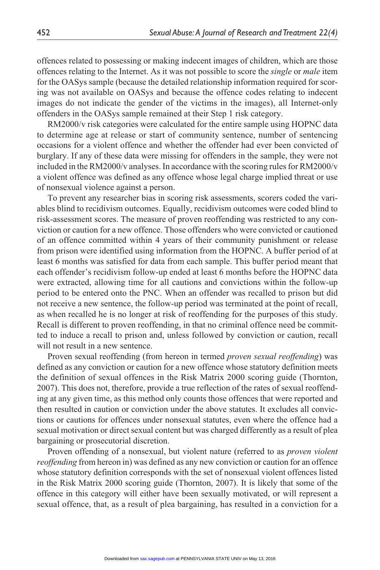offences related to possessing or making indecent images of children, which are those offences relating to the Internet. As it was not possible to score the *single* or *male* item for the OASys sample (because the detailed relationship information required for scoring was not available on OASys and because the offence codes relating to indecent images do not indicate the gender of the victims in the images), all Internet-only offenders in the OASys sample remained at their Step 1 risk category.

RM2000/v risk categories were calculated for the entire sample using HOPNC data to determine age at release or start of community sentence, number of sentencing occasions for a violent offence and whether the offender had ever been convicted of burglary. If any of these data were missing for offenders in the sample, they were not included in the RM2000/v analyses. In accordance with the scoring rules for RM2000/v a violent offence was defined as any offence whose legal charge implied threat or use of nonsexual violence against a person.

To prevent any researcher bias in scoring risk assessments, scorers coded the variables blind to recidivism outcomes. Equally, recidivism outcomes were coded blind to risk-assessment scores. The measure of proven reoffending was restricted to any conviction or caution for a new offence. Those offenders who were convicted or cautioned of an offence committed within 4 years of their community punishment or release from prison were identified using information from the HOPNC. A buffer period of at least 6 months was satisfied for data from each sample. This buffer period meant that each offender's recidivism follow-up ended at least 6 months before the HOPNC data were extracted, allowing time for all cautions and convictions within the follow-up period to be entered onto the PNC. When an offender was recalled to prison but did not receive a new sentence, the follow-up period was terminated at the point of recall, as when recalled he is no longer at risk of reoffending for the purposes of this study. Recall is different to proven reoffending, in that no criminal offence need be committed to induce a recall to prison and, unless followed by conviction or caution, recall will not result in a new sentence.

Proven sexual reoffending (from hereon in termed *proven sexual reoffending*) was defined as any conviction or caution for a new offence whose statutory definition meets the definition of sexual offences in the Risk Matrix 2000 scoring guide (Thornton, 2007). This does not, therefore, provide a true reflection of the rates of sexual reoffending at any given time, as this method only counts those offences that were reported and then resulted in caution or conviction under the above statutes. It excludes all convictions or cautions for offences under nonsexual statutes, even where the offence had a sexual motivation or direct sexual content but was charged differently as a result of plea bargaining or prosecutorial discretion.

Proven offending of a nonsexual, but violent nature (referred to as *proven violent reoffending* from hereon in) was defined as any new conviction or caution for an offence whose statutory definition corresponds with the set of nonsexual violent offences listed in the Risk Matrix 2000 scoring guide (Thornton, 2007). It is likely that some of the offence in this category will either have been sexually motivated, or will represent a sexual offence, that, as a result of plea bargaining, has resulted in a conviction for a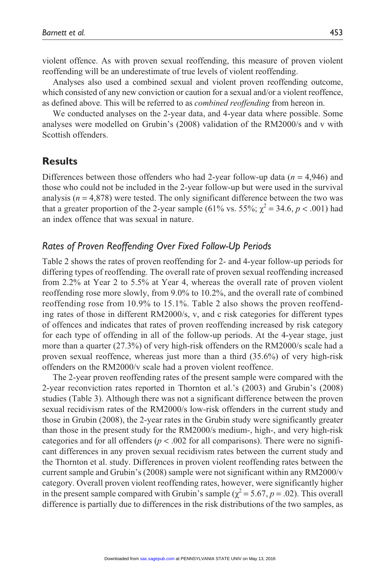violent offence. As with proven sexual reoffending, this measure of proven violent reoffending will be an underestimate of true levels of violent reoffending.

Analyses also used a combined sexual and violent proven reoffending outcome, which consisted of any new conviction or caution for a sexual and/or a violent reoffence, as defined above. This will be referred to as *combined reoffending* from hereon in.

We conducted analyses on the 2-year data, and 4-year data where possible. Some analyses were modelled on Grubin's (2008) validation of the RM2000/s and v with Scottish offenders.

### **Results**

Differences between those offenders who had 2-year follow-up data (*n* = 4,946) and those who could not be included in the 2-year follow-up but were used in the survival analysis  $(n = 4,878)$  were tested. The only significant difference between the two was that a greater proportion of the 2-year sample (61% vs. 55%;  $\chi^2 = 34.6$ ,  $p < .001$ ) had an index offence that was sexual in nature.

#### *Rates of Proven Reoffending Over Fixed Follow-Up Periods*

Table 2 shows the rates of proven reoffending for 2- and 4-year follow-up periods for differing types of reoffending. The overall rate of proven sexual reoffending increased from 2.2% at Year 2 to 5.5% at Year 4, whereas the overall rate of proven violent reoffending rose more slowly, from 9.0% to 10.2%, and the overall rate of combined reoffending rose from 10.9% to 15.1%. Table 2 also shows the proven reoffending rates of those in different RM2000/s, v, and c risk categories for different types of offences and indicates that rates of proven reoffending increased by risk category for each type of offending in all of the follow-up periods. At the 4-year stage, just more than a quarter (27.3%) of very high-risk offenders on the RM2000/s scale had a proven sexual reoffence, whereas just more than a third (35.6%) of very high-risk offenders on the RM2000/v scale had a proven violent reoffence.

The 2-year proven reoffending rates of the present sample were compared with the 2-year reconviction rates reported in Thornton et al.'s (2003) and Grubin's (2008) studies (Table 3). Although there was not a significant difference between the proven sexual recidivism rates of the RM2000/s low-risk offenders in the current study and those in Grubin (2008), the 2-year rates in the Grubin study were significantly greater than those in the present study for the RM2000/s medium-, high-, and very high-risk categories and for all offenders ( $p < .002$  for all comparisons). There were no significant differences in any proven sexual recidivism rates between the current study and the Thornton et al. study. Differences in proven violent reoffending rates between the current sample and Grubin's (2008) sample were not significant within any RM2000/v category. Overall proven violent reoffending rates, however, were significantly higher in the present sample compared with Grubin's sample ( $\chi^2$  = 5.67, *p* = .02). This overall difference is partially due to differences in the risk distributions of the two samples, as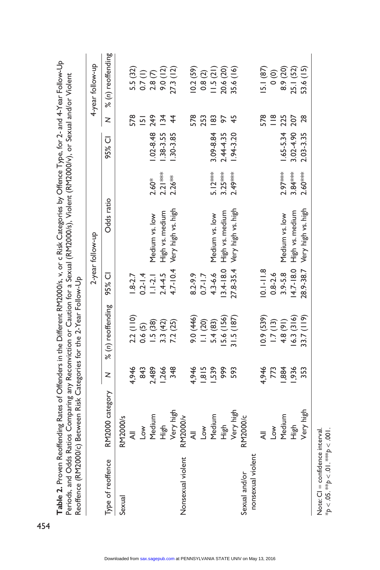|                                 | Reoffence (RM2000/c) Between Risk Categories for the 2-Year Follow-Up |       |                      |               | Table 2. Proven Reoffending Rates of Offenders in the Different RM2000/s, v, or c Risk Categories by Offence Type, for 2- and 4-Year Follow-Up<br>Periods, and Odds Ratios Comparing any Reconviction or Caution for a Sexual (RM2000/s), Violent (RM2000/v), or Sexual and/or Violent |           |               |                |                                                               |
|---------------------------------|-----------------------------------------------------------------------|-------|----------------------|---------------|----------------------------------------------------------------------------------------------------------------------------------------------------------------------------------------------------------------------------------------------------------------------------------------|-----------|---------------|----------------|---------------------------------------------------------------|
|                                 |                                                                       |       |                      |               | 2-year follow-up                                                                                                                                                                                                                                                                       |           |               |                | 4-year follow-up                                              |
| Type of reoffence               | RM2000 category                                                       | z     | % (n) reoffending    | 95% CI        | Odds ratio                                                                                                                                                                                                                                                                             |           | 95% CI        | Z              | % (n) reoffending                                             |
| Sexual                          | RM2000/s                                                              |       |                      |               |                                                                                                                                                                                                                                                                                        |           |               |                |                                                               |
|                                 | ₹                                                                     | 4,946 | 2.2(110)             | $1.8 - 2.7$   |                                                                                                                                                                                                                                                                                        |           |               | 578            |                                                               |
|                                 | $\overline{\phantom{0}}$                                              | 843   | 0.6(5)               | $0.2 - 1.4$   |                                                                                                                                                                                                                                                                                        |           |               | $\overline{2}$ |                                                               |
|                                 | Medium                                                                | 2,489 | 1.5(38)              | $1.1 - 2.1$   | Medium vs. low                                                                                                                                                                                                                                                                         | $2.60*$   | $1.02 - 8.48$ | 249            | $\begin{array}{c} 5.5 (32) \\ 0.7 (1) \\ 2.8 (7) \end{array}$ |
|                                 | -ligh                                                                 | 1,266 |                      | $2.4 - 4.5$   | High vs. medium                                                                                                                                                                                                                                                                        | $2.21***$ | .38-3.55      | $\frac{34}{3}$ | 9.0(12)                                                       |
|                                 | Very high                                                             | 348   | 3.3 (42)<br>7.2 (25) | $4.7 - 10.4$  | Very high vs. high                                                                                                                                                                                                                                                                     | $2.26***$ | $.30 - 3.85$  | $\frac{4}{3}$  | 27.3 (12)                                                     |
| Nonsexual violent               | RM2000/v                                                              |       |                      |               |                                                                                                                                                                                                                                                                                        |           |               |                |                                                               |
|                                 | ₹                                                                     | 4,946 | 9.0 (446)            | 8.2-9.9       |                                                                                                                                                                                                                                                                                        |           |               | 578            | $(62)$ (59)                                                   |
|                                 | $\overline{\phantom{0}}$                                              | 1,815 | 1.1(20)              | $0.7 - 1.7$   |                                                                                                                                                                                                                                                                                        |           |               | 253            | 0.8(2)                                                        |
|                                 | Medium                                                                | 1,539 | 5.4(83)              | $4.3 - 6.6$   | Medium vs. low                                                                                                                                                                                                                                                                         | $5.12***$ | 3.09-8.84     | $\frac{2}{8}$  | 11.5(21)                                                      |
|                                 | -ligh                                                                 | 999   | 5.6 (156)            | $13.4 - 18.0$ | High vs. medium                                                                                                                                                                                                                                                                        | $3.25***$ | 2.44-4.35     | 56             | 20.6 (20)                                                     |
|                                 | Very high                                                             | 593   | 31.5(187)            | $27.8 - 35.4$ | Very high vs. high                                                                                                                                                                                                                                                                     | $2.49***$ | 1.94-3.20     | 45             | 35.6 (16)                                                     |
| Sexual and/or                   | RM2000/c                                                              |       |                      |               |                                                                                                                                                                                                                                                                                        |           |               |                |                                                               |
| nonsexual violent               |                                                                       |       |                      |               |                                                                                                                                                                                                                                                                                        |           |               |                |                                                               |
|                                 | ₹                                                                     | 4,946 | (6.519)              | $ 0.1 - 1.8$  |                                                                                                                                                                                                                                                                                        |           |               | 578            | 5.1(87)                                                       |
|                                 | $\sim$                                                                | 773   | 1.7(13)              | $0.8 - 2.6$   |                                                                                                                                                                                                                                                                                        |           |               | $\frac{8}{1}$  | $\frac{0}{0}$                                                 |
|                                 | Medium                                                                | 1,884 | 4.8 (91)             | 3.9-5.8       | Medium vs. low                                                                                                                                                                                                                                                                         | $2.97***$ | $1.65 - 5.34$ | 225            | 8.9 (20)                                                      |
|                                 | High<br>Hi                                                            | 1,936 | 16.3(316)            | $14.7 - 18.0$ | High vs. medium                                                                                                                                                                                                                                                                        | $3.84***$ | $3.02 - 4.90$ | 207            | 25.1 (52)                                                     |
|                                 | Very high                                                             | 353   | 33.7 (119)           | 28.9-38.7     | Very high vs. high                                                                                                                                                                                                                                                                     | $2.60***$ | 2.03-3.35     | $^{28}$        | 53.6 (15)                                                     |
| Note: CI = confidence interval. |                                                                       |       |                      |               |                                                                                                                                                                                                                                                                                        |           |               |                |                                                               |

\**p* < .05. \*\**p* < .01. \*\*\**p* < .001.

\* $p < .05$ . \*\* $p < .01$ . \*\*\* $p < .001$ .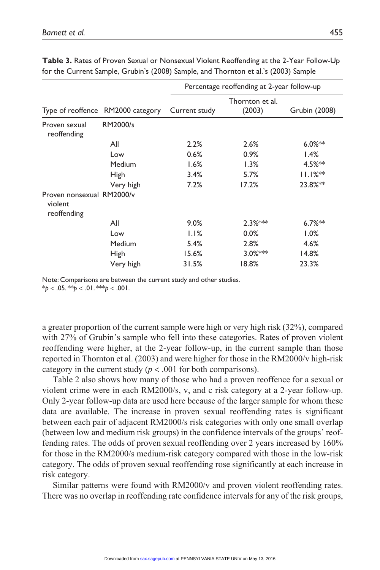|                                                     |                                   |               | Percentage reoffending at 2-year follow-up |               |
|-----------------------------------------------------|-----------------------------------|---------------|--------------------------------------------|---------------|
|                                                     | Type of reoffence RM2000 category | Current study | Thornton et al.<br>(2003)                  | Grubin (2008) |
| Proven sexual<br>reoffending                        | RM2000/s                          |               |                                            |               |
|                                                     | All                               | 2.2%          | 2.6%                                       | $6.0%***$     |
|                                                     | Low                               | 0.6%          | 0.9%                                       | 1.4%          |
|                                                     | Medium                            | 1.6%          | 1.3%                                       | $4.5%***$     |
|                                                     | High                              | 3.4%          | 5.7%                                       | $11.1%$ **    |
|                                                     | Very high                         | 7.2%          | 17.2%                                      | 23.8%**       |
| Proven nonsexual RM2000/v<br>violent<br>reoffending |                                   |               |                                            |               |
|                                                     | All                               | 9.0%          | $2.3%***$                                  | $6.7%***$     |
|                                                     | Low                               | 1.1%          | 0.0%                                       | 1.0%          |
|                                                     | Medium                            | 5.4%          | 2.8%                                       | 4.6%          |
|                                                     | High                              | 15.6%         | $3.0\%***$                                 | 14.8%         |
|                                                     | Very high                         | 31.5%         | 18.8%                                      | 23.3%         |

**Table 3.** Rates of Proven Sexual or Nonsexual Violent Reoffending at the 2-Year Follow-Up for the Current Sample, Grubin's (2008) Sample, and Thornton et al.'s (2003) Sample

Note: Comparisons are between the current study and other studies.

 $*_{p}$  < .05.  $*_{p}$  < .01.  $*_{p}$  < .001.

a greater proportion of the current sample were high or very high risk (32%), compared with 27% of Grubin's sample who fell into these categories. Rates of proven violent reoffending were higher, at the 2-year follow-up, in the current sample than those reported in Thornton et al. (2003) and were higher for those in the RM2000/v high-risk category in the current study ( $p < .001$  for both comparisons).

Table 2 also shows how many of those who had a proven reoffence for a sexual or violent crime were in each RM2000/s, v, and c risk category at a 2-year follow-up. Only 2-year follow-up data are used here because of the larger sample for whom these data are available. The increase in proven sexual reoffending rates is significant between each pair of adjacent RM2000/s risk categories with only one small overlap (between low and medium risk groups) in the confidence intervals of the groups' reoffending rates. The odds of proven sexual reoffending over 2 years increased by 160% for those in the RM2000/s medium-risk category compared with those in the low-risk category. The odds of proven sexual reoffending rose significantly at each increase in risk category.

Similar patterns were found with RM2000/v and proven violent reoffending rates. There was no overlap in reoffending rate confidence intervals for any of the risk groups,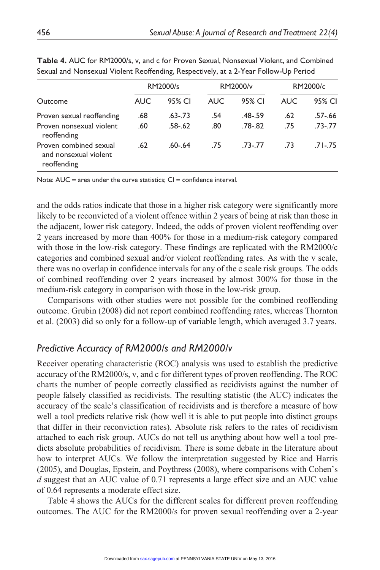|                                                                |      | RM2000/s    |            | RM2000/v    |            | RM2000/c    |
|----------------------------------------------------------------|------|-------------|------------|-------------|------------|-------------|
| Outcome                                                        | AUC. | 95% CI      | <b>AUC</b> | 95% CI      | <b>AUC</b> | 95% CI      |
| Proven sexual reoffending                                      | .68  | $.63 - .73$ | .54        | $.48 - .59$ | .62        | $.57 - .66$ |
| Proven nonsexual violent<br>reoffending                        | .60  | $.58 - 62$  | .80        | $78 - 82$   | .75        | $.73 - .77$ |
| Proven combined sexual<br>and nonsexual violent<br>reoffending | .62  | $.60 - 64$  | .75        | $.73 - .77$ | .73        | $.71 - .75$ |

**Table 4.** AUC for RM2000/s, v, and c for Proven Sexual, Nonsexual Violent, and Combined Sexual and Nonsexual Violent Reoffending, Respectively, at a 2-Year Follow-Up Period

Note:  $AUC = area$  under the curve statistics;  $Cl =$  confidence interval.

and the odds ratios indicate that those in a higher risk category were significantly more likely to be reconvicted of a violent offence within 2 years of being at risk than those in the adjacent, lower risk category. Indeed, the odds of proven violent reoffending over 2 years increased by more than 400% for those in a medium-risk category compared with those in the low-risk category. These findings are replicated with the RM2000/c categories and combined sexual and/or violent reoffending rates. As with the v scale, there was no overlap in confidence intervals for any of the c scale risk groups. The odds of combined reoffending over 2 years increased by almost 300% for those in the medium-risk category in comparison with those in the low-risk group.

Comparisons with other studies were not possible for the combined reoffending outcome. Grubin (2008) did not report combined reoffending rates, whereas Thornton et al. (2003) did so only for a follow-up of variable length, which averaged 3.7 years.

#### *Predictive Accuracy of RM2000/s and RM2000/v*

Receiver operating characteristic (ROC) analysis was used to establish the predictive accuracy of the RM2000/s, v, and c for different types of proven reoffending. The ROC charts the number of people correctly classified as recidivists against the number of people falsely classified as recidivists. The resulting statistic (the AUC) indicates the accuracy of the scale's classification of recidivists and is therefore a measure of how well a tool predicts relative risk (how well it is able to put people into distinct groups that differ in their reconviction rates). Absolute risk refers to the rates of recidivism attached to each risk group. AUCs do not tell us anything about how well a tool predicts absolute probabilities of recidivism. There is some debate in the literature about how to interpret AUCs. We follow the interpretation suggested by Rice and Harris (2005), and Douglas, Epstein, and Poythress (2008), where comparisons with Cohen's *d* suggest that an AUC value of 0.71 represents a large effect size and an AUC value of 0.64 represents a moderate effect size.

Table 4 shows the AUCs for the different scales for different proven reoffending outcomes. The AUC for the RM2000/s for proven sexual reoffending over a 2-year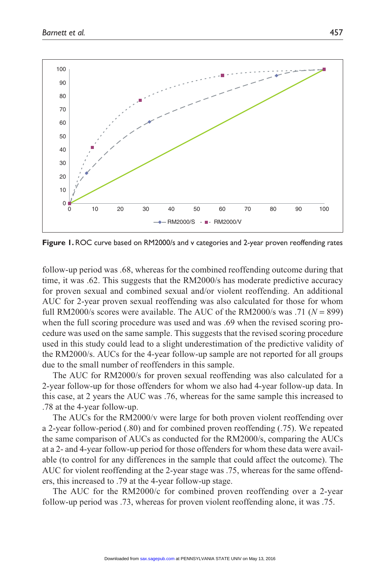

**Figure 1.** ROC curve based on RM2000/s and v categories and 2-year proven reoffending rates

follow-up period was .68, whereas for the combined reoffending outcome during that time, it was .62. This suggests that the RM2000/s has moderate predictive accuracy for proven sexual and combined sexual and/or violent reoffending. An additional AUC for 2-year proven sexual reoffending was also calculated for those for whom full RM2000/s scores were available. The AUC of the RM2000/s was  $.71 (N = 899)$ when the full scoring procedure was used and was .69 when the revised scoring procedure was used on the same sample. This suggests that the revised scoring procedure used in this study could lead to a slight underestimation of the predictive validity of the RM2000/s. AUCs for the 4-year follow-up sample are not reported for all groups due to the small number of reoffenders in this sample.

The AUC for RM2000/s for proven sexual reoffending was also calculated for a 2-year follow-up for those offenders for whom we also had 4-year follow-up data. In this case, at 2 years the AUC was .76, whereas for the same sample this increased to .78 at the 4-year follow-up.

The AUCs for the RM2000/v were large for both proven violent reoffending over a 2-year follow-period (.80) and for combined proven reoffending (.75). We repeated the same comparison of AUCs as conducted for the RM2000/s, comparing the AUCs at a 2- and 4-year follow-up period for those offenders for whom these data were available (to control for any differences in the sample that could affect the outcome). The AUC for violent reoffending at the 2-year stage was .75, whereas for the same offenders, this increased to .79 at the 4-year follow-up stage.

The AUC for the RM2000/c for combined proven reoffending over a 2-year follow-up period was .73, whereas for proven violent reoffending alone, it was .75.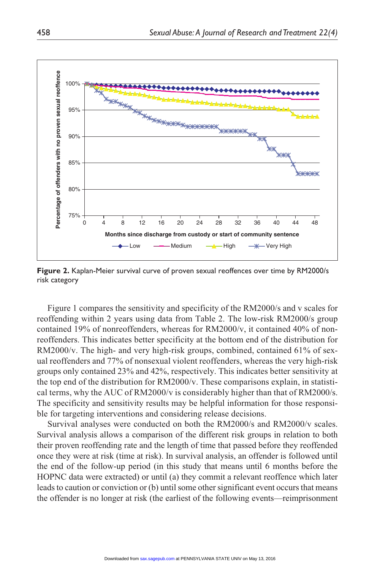

**Figure 2.** Kaplan-Meier survival curve of proven sexual reoffences over time by RM2000/s risk category

Figure 1 compares the sensitivity and specificity of the RM2000/s and v scales for reoffending within 2 years using data from Table 2. The low-risk RM2000/s group contained 19% of nonreoffenders, whereas for RM2000/v, it contained 40% of nonreoffenders. This indicates better specificity at the bottom end of the distribution for RM2000/v. The high- and very high-risk groups, combined, contained 61% of sexual reoffenders and 77% of nonsexual violent reoffenders, whereas the very high-risk groups only contained 23% and 42%, respectively. This indicates better sensitivity at the top end of the distribution for RM2000/v. These comparisons explain, in statistical terms, why the AUC of RM2000/v is considerably higher than that of RM2000/s. The specificity and sensitivity results may be helpful information for those responsible for targeting interventions and considering release decisions.

Survival analyses were conducted on both the RM2000/s and RM2000/v scales. Survival analysis allows a comparison of the different risk groups in relation to both their proven reoffending rate and the length of time that passed before they reoffended once they were at risk (time at risk). In survival analysis, an offender is followed until the end of the follow-up period (in this study that means until 6 months before the HOPNC data were extracted) or until (a) they commit a relevant reoffence which later leads to caution or conviction or (b) until some other significant event occurs that means the offender is no longer at risk (the earliest of the following events—reimprisonment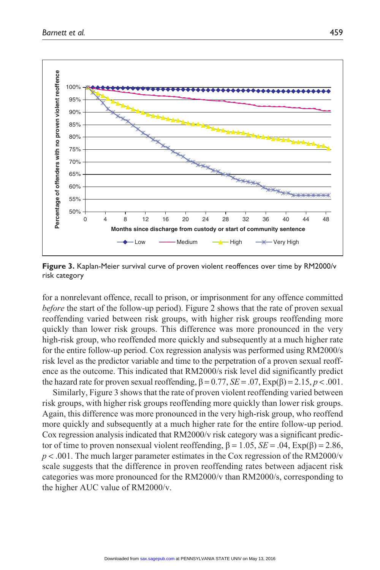

**Figure 3.** Kaplan-Meier survival curve of proven violent reoffences over time by RM2000/v risk category

for a nonrelevant offence, recall to prison, or imprisonment for any offence committed *before* the start of the follow-up period). Figure 2 shows that the rate of proven sexual reoffending varied between risk groups, with higher risk groups reoffending more quickly than lower risk groups. This difference was more pronounced in the very high-risk group, who reoffended more quickly and subsequently at a much higher rate for the entire follow-up period. Cox regression analysis was performed using RM2000/s risk level as the predictor variable and time to the perpetration of a proven sexual reoffence as the outcome. This indicated that RM2000/s risk level did significantly predict the hazard rate for proven sexual reoffending,  $β = 0.77$ ,  $SE = .07$ ,  $Exp(β) = 2.15$ ,  $p < .001$ .

Similarly, Figure 3 shows that the rate of proven violent reoffending varied between risk groups, with higher risk groups reoffending more quickly than lower risk groups. Again, this difference was more pronounced in the very high-risk group, who reoffend more quickly and subsequently at a much higher rate for the entire follow-up period. Cox regression analysis indicated that RM2000/v risk category was a significant predictor of time to proven nonsexual violent reoffending,  $β = 1.05$ ,  $SE = .04$ ,  $Exp(β) = 2.86$ ,  $p < .001$ . The much larger parameter estimates in the Cox regression of the RM2000/v scale suggests that the difference in proven reoffending rates between adjacent risk categories was more pronounced for the  $RM2000/v$  than  $RM2000/s$ , corresponding to the higher AUC value of RM2000/v.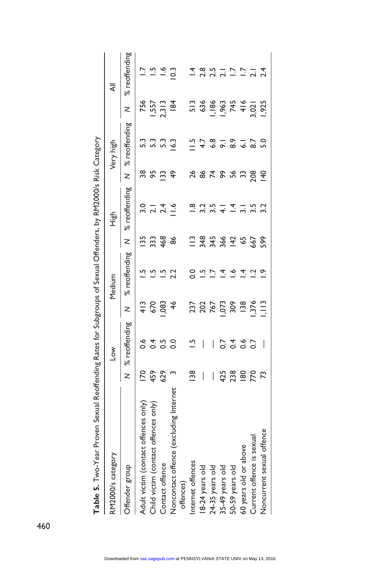| A DAPPY A SEC A DODON'L MA SA SHOULD UN TO SALD MORE OF SAMPA AND MULTULU THE HAND LINE OF LINE<br>ladie J. I wo-Teal |                          |                          |                                           |                                 |                         |                             |                |                                 |                                                |                                                                                                                                                                                                                                                                   |
|-----------------------------------------------------------------------------------------------------------------------|--------------------------|--------------------------|-------------------------------------------|---------------------------------|-------------------------|-----------------------------|----------------|---------------------------------|------------------------------------------------|-------------------------------------------------------------------------------------------------------------------------------------------------------------------------------------------------------------------------------------------------------------------|
| RM2000/s category                                                                                                     |                          | $\sum_{i=1}^{n}$         |                                           | Medium                          |                         | ri<br>三                     |                | Very high                       |                                                | ₹                                                                                                                                                                                                                                                                 |
| Offender group                                                                                                        | z                        | % reoffending            | z                                         | % reoffending                   | z                       | % reoffending               | z              | % reoffending                   | z                                              | % reoffending                                                                                                                                                                                                                                                     |
| offences only)<br>Adult victim (contact                                                                               | <b>DZ1</b>               |                          |                                           | $\frac{5}{1}$                   |                         |                             | 38             |                                 |                                                |                                                                                                                                                                                                                                                                   |
| offences only)<br>Child victim (contact                                                                               | 459                      |                          | $\frac{413}{670}$                         |                                 |                         |                             | 95             |                                 |                                                |                                                                                                                                                                                                                                                                   |
| Contact offence                                                                                                       | 629                      | 8450<br>0000             |                                           | $\frac{15}{15}$ $\frac{15}{21}$ | $\frac{15}{3} \times 8$ | $30 - 48$<br>$-16$<br>$-16$ |                |                                 | 756<br>1.557<br>2.3134                         | $\frac{17}{12}$ $\frac{16}{12}$ $\frac{16}{12}$                                                                                                                                                                                                                   |
| excluding Internet<br>Noncontact offence                                                                              | $\mathbf{\hat{z}}$       |                          | 46                                        |                                 |                         |                             | $\frac{6}{4}$  |                                 |                                                |                                                                                                                                                                                                                                                                   |
| offences)                                                                                                             |                          |                          |                                           |                                 |                         |                             |                |                                 |                                                |                                                                                                                                                                                                                                                                   |
| Internet offences                                                                                                     | <b>138</b>               | $\ddot{ }$ .             |                                           |                                 |                         | $\frac{\infty}{\cdot}$      |                |                                 |                                                | $\overline{4}$                                                                                                                                                                                                                                                    |
| 18-24 years old                                                                                                       | $\overline{\phantom{a}}$ |                          |                                           | 0.5                             |                         | 3.2                         | 26<br>86       | $\frac{1.5}{4.7}$               | 513<br>636                                     | 2.8                                                                                                                                                                                                                                                               |
| 24-35 years old                                                                                                       | $\overline{\phantom{a}}$ | $\bigg $                 |                                           |                                 |                         |                             |                |                                 |                                                | 2.5                                                                                                                                                                                                                                                               |
| 35-49 years old                                                                                                       | 425                      |                          |                                           |                                 |                         |                             |                |                                 |                                                |                                                                                                                                                                                                                                                                   |
| 50-59 years old                                                                                                       | 38<br>180<br>770         |                          | 237<br>2022<br>2023 - 2024<br>2024 - 2024 | 7.494                           | 13334565                | $3.4 - 7.32$                | 7993           | $30 - 5 - 50$<br>$30 - 50 - 50$ | $1,963$<br>$745$<br>$740$<br>$7021$<br>$3,925$ | $2.1$ $\geq$ $\geq$ $\geq$ $\geq$ $\geq$ $\geq$ $\geq$ $\geq$ $\geq$ $\geq$ $\geq$ $\geq$ $\geq$ $\geq$ $\geq$ $\geq$ $\geq$ $\geq$ $\geq$ $\geq$ $\geq$ $\geq$ $\geq$ $\geq$ $\geq$ $\geq$ $\geq$ $\geq$ $\geq$ $\geq$ $\geq$ $\geq$ $\geq$ $\geq$ $\geq$ $\geq$ |
| 60 years old or above                                                                                                 |                          |                          |                                           |                                 |                         |                             |                |                                 |                                                |                                                                                                                                                                                                                                                                   |
| Current offence is sexual                                                                                             |                          |                          |                                           | $\frac{1}{2}$ $\frac{1}{2}$     |                         |                             | 208            |                                 |                                                |                                                                                                                                                                                                                                                                   |
| Noncurrent sexual offence                                                                                             | $\overline{r}$           | $\overline{\phantom{a}}$ |                                           |                                 | 599                     |                             | $\frac{40}{5}$ |                                 |                                                |                                                                                                                                                                                                                                                                   |

Table 5. Two-Year Proven Sexual Reoffending Rares for Subgroups of Sexual Offenders, by RM2000/s Risk Caregory **Table 5.** Two-Year Proven Sexual Reoffending Rates for Subgroups of Sexual Offenders, by RM2000/s Risk Category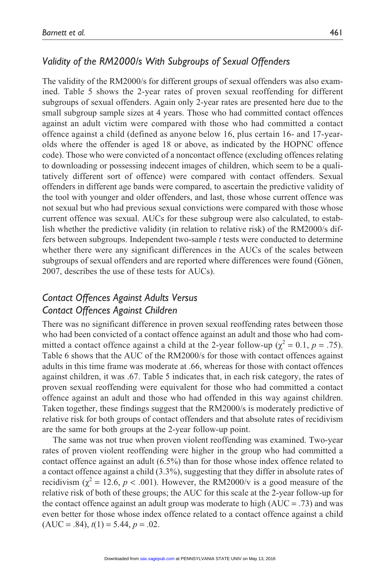## *Validity of the RM2000/s With Subgroups of Sexual Offenders*

The validity of the RM2000/s for different groups of sexual offenders was also examined. Table 5 shows the 2-year rates of proven sexual reoffending for different subgroups of sexual offenders. Again only 2-year rates are presented here due to the small subgroup sample sizes at 4 years. Those who had committed contact offences against an adult victim were compared with those who had committed a contact offence against a child (defined as anyone below 16, plus certain 16- and 17-yearolds where the offender is aged 18 or above, as indicated by the HOPNC offence code). Those who were convicted of a noncontact offence (excluding offences relating to downloading or possessing indecent images of children, which seem to be a qualitatively different sort of offence) were compared with contact offenders. Sexual offenders in different age bands were compared, to ascertain the predictive validity of the tool with younger and older offenders, and last, those whose current offence was not sexual but who had previous sexual convictions were compared with those whose current offence was sexual. AUCs for these subgroup were also calculated, to establish whether the predictive validity (in relation to relative risk) of the RM2000/s differs between subgroups. Independent two-sample *t* tests were conducted to determine whether there were any significant differences in the AUCs of the scales between subgroups of sexual offenders and are reported where differences were found (Gönen, 2007, describes the use of these tests for AUCs).

# *Contact Offences Against Adults Versus Contact Offences Against Children*

There was no significant difference in proven sexual reoffending rates between those who had been convicted of a contact offence against an adult and those who had committed a contact offence against a child at the 2-year follow-up ( $\chi^2 = 0.1$ ,  $p = .75$ ). Table 6 shows that the AUC of the RM2000/s for those with contact offences against adults in this time frame was moderate at .66, whereas for those with contact offences against children, it was .67. Table 5 indicates that, in each risk category, the rates of proven sexual reoffending were equivalent for those who had committed a contact offence against an adult and those who had offended in this way against children. Taken together, these findings suggest that the RM2000/s is moderately predictive of relative risk for both groups of contact offenders and that absolute rates of recidivism are the same for both groups at the 2-year follow-up point.

The same was not true when proven violent reoffending was examined. Two-year rates of proven violent reoffending were higher in the group who had committed a contact offence against an adult (6.5%) than for those whose index offence related to a contact offence against a child (3.3%), suggesting that they differ in absolute rates of recidivism ( $\chi^2$  = 12.6, *p* < .001). However, the RM2000/v is a good measure of the relative risk of both of these groups; the AUC for this scale at the 2-year follow-up for the contact offence against an adult group was moderate to high  $(AUC = .73)$  and was even better for those whose index offence related to a contact offence against a child  $(AUC = .84), t(1) = 5.44, p = .02.$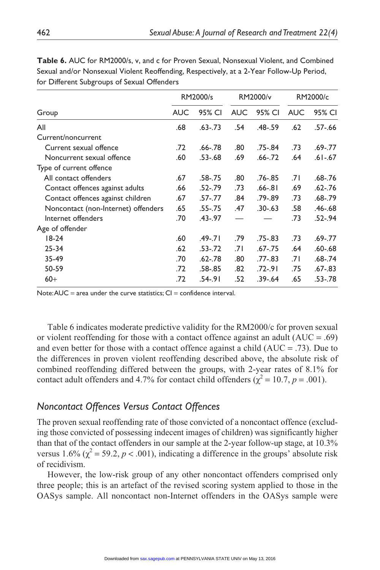|                                     |            | RM2000/s    |            | RM2000/v    |            | RM2000/c    |
|-------------------------------------|------------|-------------|------------|-------------|------------|-------------|
| Group                               | <b>AUC</b> | 95% CI      | <b>AUC</b> | 95% CI      | <b>AUC</b> | 95% CI      |
| All                                 | .68        | $.63 - .73$ | .54        | $.48 - .59$ | .62        | .57-.66     |
| Current/noncurrent                  |            |             |            |             |            |             |
| Current sexual offence              | .72        | .66-.78     | .80        | .75-.84     | .73        | $.69 - .77$ |
| Noncurrent sexual offence           | .60        | $.53 - .68$ | .69        | $.66 - .72$ | .64        | $.61 - .67$ |
| Type of current offence             |            |             |            |             |            |             |
| All contact offenders               | .67        | .58-.75     | .80        | $.76 - .85$ | .71        | $.68 - .76$ |
| Contact offences against adults     | .66        | $.52 - .79$ | .73        | $.66 - .81$ | .69        | $.62 - .76$ |
| Contact offences against children   | .67        | $.57 - .77$ | .84        | .79-.89     | .73        | .68-.79     |
| Noncontact (non-Internet) offenders | .65        | $.55-.75$   | .47        | $.30 - .63$ | .58        | $.46 - .68$ |
| Internet offenders                  | .70        | $.43 - .97$ |            |             | .73        | $.52 - .94$ |
| Age of offender                     |            |             |            |             |            |             |
| $18-24$                             | .60        | $.49 - .71$ | .79        | $.75 - .83$ | .73        | $.69 - .77$ |
| $25 - 34$                           | .62        | $.53 - .72$ | .71        | .67-.75     | .64        | $.60 - .68$ |
| 35-49                               | .70        | $.62 - .78$ | .80        | $.77 - .83$ | .71        | $.68 - .74$ |
| 50-59                               | .72        | .58-.85     | .82        | $.72 - .91$ | .75        | $.67 - .83$ |
| $60+$                               | .72        | $.54 - .91$ | .52        | $.39 - .64$ | .65        | $.53 - .78$ |
|                                     |            |             |            |             |            |             |

**Table 6.** AUC for RM2000/s, v, and c for Proven Sexual, Nonsexual Violent, and Combined Sexual and/or Nonsexual Violent Reoffending, Respectively, at a 2-Year Follow-Up Period, for Different Subgroups of Sexual Offenders

Note: AUC = area under the curve statistics:  $CI =$  confidence interval.

Table 6 indicates moderate predictive validity for the RM2000/c for proven sexual or violent reoffending for those with a contact offence against an adult  $(AUC = .69)$ and even better for those with a contact offence against a child  $(AUC = .73)$ . Due to the differences in proven violent reoffending described above, the absolute risk of combined reoffending differed between the groups, with 2-year rates of 8.1% for contact adult offenders and 4.7% for contact child offenders ( $\chi^2 = 10.7$ , *p* = .001).

## *Noncontact Offences Versus Contact Offences*

The proven sexual reoffending rate of those convicted of a noncontact offence (excluding those convicted of possessing indecent images of children) was significantly higher than that of the contact offenders in our sample at the 2-year follow-up stage, at 10.3% versus 1.6% ( $\chi^2$  = 59.2, *p* < .001), indicating a difference in the groups' absolute risk of recidivism.

However, the low-risk group of any other noncontact offenders comprised only three people; this is an artefact of the revised scoring system applied to those in the OASys sample. All noncontact non-Internet offenders in the OASys sample were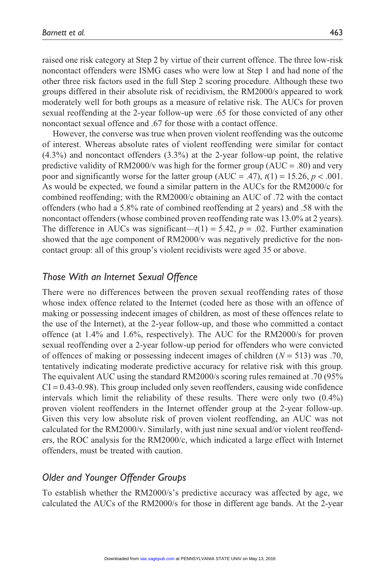raised one risk category at Step 2 by virtue of their current offence. The three low-risk noncontact offenders were ISMG cases who were low at Step 1 and had none of the other three risk factors used in the full Step 2 scoring procedure. Although these two groups differed in their absolute risk of recidivism, the RM2000/s appeared to work moderately well for both groups as a measure of relative risk. The AUCs for proven sexual reoffending at the 2-year follow-up were .65 for those convicted of any other noncontact sexual offence and .67 for those with a contact offence.

However, the converse was true when proven violent reoffending was the outcome of interest. Whereas absolute rates of violent reoffending were similar for contact (4.3%) and noncontact offenders (3.3%) at the 2-year follow-up point, the relative predictive validity of RM2000/v was high for the former group  $(AUC = .80)$  and very poor and significantly worse for the latter group  $(AUC = .47)$ ,  $t(1) = 15.26$ ,  $p < .001$ . As would be expected, we found a similar pattern in the AUCs for the RM2000/c for combined reoffending; with the RM2000/c obtaining an AUC of .72 with the contact offenders (who had a 5.8% rate of combined reoffending at 2 years) and .58 with the noncontact offenders (whose combined proven reoffending rate was 13.0% at 2 years). The difference in AUCs was significant— $t(1) = 5.42$ ,  $p = .02$ . Further examination showed that the age component of RM2000/v was negatively predictive for the noncontact group: all of this group's violent recidivists were aged 35 or above.

#### *Those With an Internet Sexual Offence*

There were no differences between the proven sexual reoffending rates of those whose index offence related to the Internet (coded here as those with an offence of making or possessing indecent images of children, as most of these offences relate to the use of the Internet), at the 2-year follow-up, and those who committed a contact offence (at 1.4% and 1.6%, respectively). The AUC for the RM2000/s for proven sexual reoffending over a 2-year follow-up period for offenders who were convicted of offences of making or possessing indecent images of children (*N* = 513) was .70, tentatively indicating moderate predictive accuracy for relative risk with this group. The equivalent AUC using the standard RM2000/s scoring rules remained at .70 (95%  $CI = 0.43-0.98$ ). This group included only seven reoffenders, causing wide confidence intervals which limit the reliability of these results. There were only two (0.4%) proven violent reoffenders in the Internet offender group at the 2-year follow-up. Given this very low absolute risk of proven violent reoffending, an AUC was not calculated for the RM2000/v. Similarly, with just nine sexual and/or violent reoffenders, the ROC analysis for the RM2000/c, which indicated a large effect with Internet offenders, must be treated with caution.

## *Older and Younger Offender Groups*

To establish whether the RM2000/s's predictive accuracy was affected by age, we calculated the AUCs of the RM2000/s for those in different age bands. At the 2-year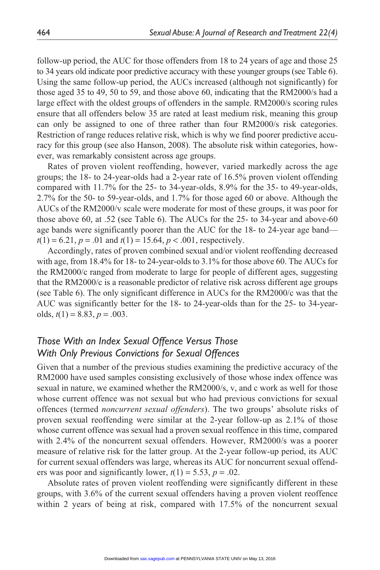follow-up period, the AUC for those offenders from 18 to 24 years of age and those 25 to 34 years old indicate poor predictive accuracy with these younger groups (see Table 6). Using the same follow-up period, the AUCs increased (although not significantly) for those aged 35 to 49, 50 to 59, and those above 60, indicating that the RM2000/s had a large effect with the oldest groups of offenders in the sample. RM2000/s scoring rules ensure that all offenders below 35 are rated at least medium risk, meaning this group can only be assigned to one of three rather than four RM2000/s risk categories. Restriction of range reduces relative risk, which is why we find poorer predictive accuracy for this group (see also Hanson, 2008). The absolute risk within categories, however, was remarkably consistent across age groups.

Rates of proven violent reoffending, however, varied markedly across the age groups; the 18- to 24-year-olds had a 2-year rate of 16.5% proven violent offending compared with 11.7% for the 25- to 34-year-olds, 8.9% for the 35- to 49-year-olds, 2.7% for the 50- to 59-year-olds, and 1.7% for those aged 60 or above. Although the AUCs of the RM2000/v scale were moderate for most of these groups, it was poor for those above 60, at .52 (see Table 6). The AUCs for the 25- to 34-year and above-60 age bands were significantly poorer than the AUC for the 18- to 24-year age band  $t(1) = 6.21, p = .01$  and  $t(1) = 15.64, p < .001$ , respectively.

Accordingly, rates of proven combined sexual and/or violent reoffending decreased with age, from 18.4% for 18- to 24-year-olds to 3.1% for those above 60. The AUCs for the RM2000/c ranged from moderate to large for people of different ages, suggesting that the RM2000/c is a reasonable predictor of relative risk across different age groups (see Table 6). The only significant difference in AUCs for the RM2000/c was that the AUC was significantly better for the 18- to 24-year-olds than for the 25- to 34-yearolds,  $t(1) = 8.83, p = .003$ .

# *Those With an Index Sexual Offence Versus Those With Only Previous Convictions for Sexual Offences*

Given that a number of the previous studies examining the predictive accuracy of the RM2000 have used samples consisting exclusively of those whose index offence was sexual in nature, we examined whether the RM2000/s, v, and c work as well for those whose current offence was not sexual but who had previous convictions for sexual offences (termed *noncurrent sexual offenders*). The two groups' absolute risks of proven sexual reoffending were similar at the 2-year follow-up as 2.1% of those whose current offence was sexual had a proven sexual reoffence in this time, compared with 2.4% of the noncurrent sexual offenders. However, RM2000/s was a poorer measure of relative risk for the latter group. At the 2-year follow-up period, its AUC for current sexual offenders was large, whereas its AUC for noncurrent sexual offenders was poor and significantly lower,  $t(1) = 5.53$ ,  $p = .02$ .

Absolute rates of proven violent reoffending were significantly different in these groups, with 3.6% of the current sexual offenders having a proven violent reoffence within 2 years of being at risk, compared with 17.5% of the noncurrent sexual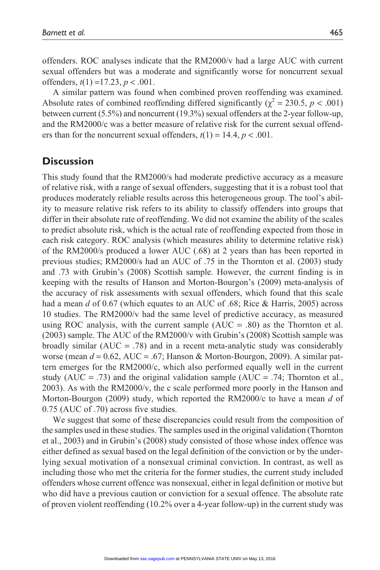offenders. ROC analyses indicate that the RM2000/v had a large AUC with current sexual offenders but was a moderate and significantly worse for noncurrent sexual offenders, *t*(1) =17.23, *p* < .001.

A similar pattern was found when combined proven reoffending was examined. Absolute rates of combined reoffending differed significantly ( $\chi^2$  = 230.5, *p* < .001) between current (5.5%) and noncurrent (19.3%) sexual offenders at the 2-year follow-up, and the RM2000/c was a better measure of relative risk for the current sexual offenders than for the noncurrent sexual offenders,  $t(1) = 14.4$ ,  $p < .001$ .

## **Discussion**

This study found that the RM2000/s had moderate predictive accuracy as a measure of relative risk, with a range of sexual offenders, suggesting that it is a robust tool that produces moderately reliable results across this heterogeneous group. The tool's ability to measure relative risk refers to its ability to classify offenders into groups that differ in their absolute rate of reoffending. We did not examine the ability of the scales to predict absolute risk, which is the actual rate of reoffending expected from those in each risk category. ROC analysis (which measures ability to determine relative risk) of the RM2000/s produced a lower AUC (.68) at 2 years than has been reported in previous studies; RM2000/s had an AUC of .75 in the Thornton et al. (2003) study and .73 with Grubin's (2008) Scottish sample. However, the current finding is in keeping with the results of Hanson and Morton-Bourgon's (2009) meta-analysis of the accuracy of risk assessments with sexual offenders, which found that this scale had a mean *d* of 0.67 (which equates to an AUC of .68; Rice & Harris, 2005) across 10 studies. The RM2000/v had the same level of predictive accuracy, as measured using ROC analysis, with the current sample  $(AUC = .80)$  as the Thornton et al. (2003) sample. The AUC of the RM2000/v with Grubin's (2008) Scottish sample was broadly similar ( $AUC = .78$ ) and in a recent meta-analytic study was considerably worse (mean *d* = 0.62, AUC = .67; Hanson & Morton-Bourgon, 2009). A similar pattern emerges for the RM2000/c, which also performed equally well in the current study  $(AUC = .73)$  and the original validation sample  $(AUC = .74;$  Thornton et al., 2003). As with the RM2000/v, the c scale performed more poorly in the Hanson and Morton-Bourgon (2009) study, which reported the RM2000/c to have a mean *d* of 0.75 (AUC of .70) across five studies.

We suggest that some of these discrepancies could result from the composition of the samples used in these studies. The samples used in the original validation (Thornton et al., 2003) and in Grubin's (2008) study consisted of those whose index offence was either defined as sexual based on the legal definition of the conviction or by the underlying sexual motivation of a nonsexual criminal conviction. In contrast, as well as including those who met the criteria for the former studies, the current study included offenders whose current offence was nonsexual, either in legal definition or motive but who did have a previous caution or conviction for a sexual offence. The absolute rate of proven violent reoffending (10.2% over a 4-year follow-up) in the current study was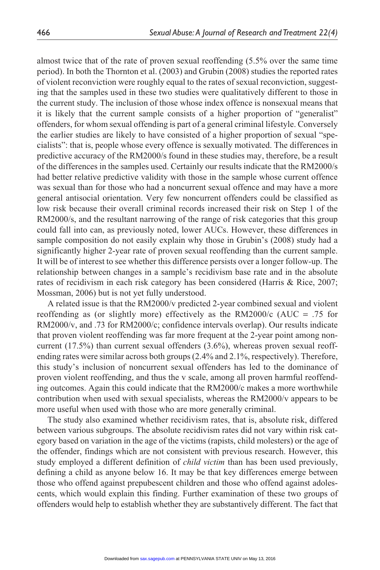almost twice that of the rate of proven sexual reoffending (5.5% over the same time period). In both the Thornton et al. (2003) and Grubin (2008) studies the reported rates of violent reconviction were roughly equal to the rates of sexual reconviction, suggesting that the samples used in these two studies were qualitatively different to those in the current study. The inclusion of those whose index offence is nonsexual means that it is likely that the current sample consists of a higher proportion of "generalist" offenders, for whom sexual offending is part of a general criminal lifestyle. Conversely the earlier studies are likely to have consisted of a higher proportion of sexual "specialists": that is, people whose every offence is sexually motivated. The differences in predictive accuracy of the RM2000/s found in these studies may, therefore, be a result of the differences in the samples used. Certainly our results indicate that the RM2000/s had better relative predictive validity with those in the sample whose current offence was sexual than for those who had a noncurrent sexual offence and may have a more general antisocial orientation. Very few noncurrent offenders could be classified as low risk because their overall criminal records increased their risk on Step 1 of the RM2000/s, and the resultant narrowing of the range of risk categories that this group could fall into can, as previously noted, lower AUCs. However, these differences in sample composition do not easily explain why those in Grubin's (2008) study had a significantly higher 2-year rate of proven sexual reoffending than the current sample. It will be of interest to see whether this difference persists over a longer follow-up. The relationship between changes in a sample's recidivism base rate and in the absolute rates of recidivism in each risk category has been considered (Harris & Rice, 2007; Mossman, 2006) but is not yet fully understood.

A related issue is that the RM2000/v predicted 2-year combined sexual and violent reoffending as (or slightly more) effectively as the RM2000/c (AUC = .75 for RM2000/v, and .73 for RM2000/c; confidence intervals overlap). Our results indicate that proven violent reoffending was far more frequent at the 2-year point among noncurrent  $(17.5\%)$  than current sexual offenders  $(3.6\%)$ , whereas proven sexual reoffending rates were similar across both groups (2.4% and 2.1%, respectively). Therefore, this study's inclusion of noncurrent sexual offenders has led to the dominance of proven violent reoffending, and thus the v scale, among all proven harmful reoffending outcomes. Again this could indicate that the RM2000/c makes a more worthwhile contribution when used with sexual specialists, whereas the RM2000/v appears to be more useful when used with those who are more generally criminal.

The study also examined whether recidivism rates, that is, absolute risk, differed between various subgroups. The absolute recidivism rates did not vary within risk category based on variation in the age of the victims (rapists, child molesters) or the age of the offender, findings which are not consistent with previous research. However, this study employed a different definition of *child victim* than has been used previously, defining a child as anyone below 16. It may be that key differences emerge between those who offend against prepubescent children and those who offend against adolescents, which would explain this finding. Further examination of these two groups of offenders would help to establish whether they are substantively different. The fact that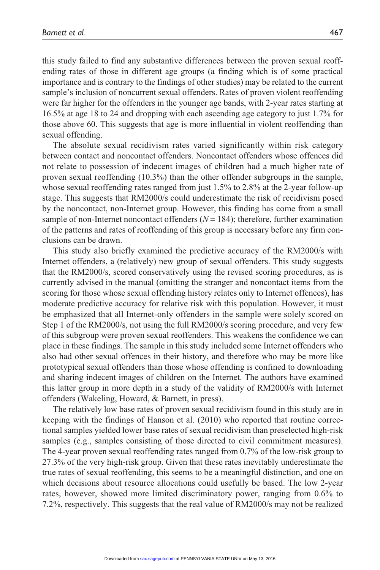this study failed to find any substantive differences between the proven sexual reoffending rates of those in different age groups (a finding which is of some practical importance and is contrary to the findings of other studies) may be related to the current sample's inclusion of noncurrent sexual offenders. Rates of proven violent reoffending were far higher for the offenders in the younger age bands, with 2-year rates starting at 16.5% at age 18 to 24 and dropping with each ascending age category to just 1.7% for those above 60. This suggests that age is more influential in violent reoffending than sexual offending.

The absolute sexual recidivism rates varied significantly within risk category between contact and noncontact offenders. Noncontact offenders whose offences did not relate to possession of indecent images of children had a much higher rate of proven sexual reoffending (10.3%) than the other offender subgroups in the sample, whose sexual reoffending rates ranged from just 1.5% to 2.8% at the 2-year follow-up stage. This suggests that RM2000/s could underestimate the risk of recidivism posed by the noncontact, non-Internet group. However, this finding has come from a small sample of non-Internet noncontact offenders  $(N = 184)$ ; therefore, further examination of the patterns and rates of reoffending of this group is necessary before any firm conclusions can be drawn.

This study also briefly examined the predictive accuracy of the RM2000/s with Internet offenders, a (relatively) new group of sexual offenders. This study suggests that the RM2000/s, scored conservatively using the revised scoring procedures, as is currently advised in the manual (omitting the stranger and noncontact items from the scoring for those whose sexual offending history relates only to Internet offences), has moderate predictive accuracy for relative risk with this population. However, it must be emphasized that all Internet-only offenders in the sample were solely scored on Step 1 of the RM2000/s, not using the full RM2000/s scoring procedure, and very few of this subgroup were proven sexual reoffenders. This weakens the confidence we can place in these findings. The sample in this study included some Internet offenders who also had other sexual offences in their history, and therefore who may be more like prototypical sexual offenders than those whose offending is confined to downloading and sharing indecent images of children on the Internet. The authors have examined this latter group in more depth in a study of the validity of RM2000/s with Internet offenders (Wakeling, Howard, & Barnett, in press).

The relatively low base rates of proven sexual recidivism found in this study are in keeping with the findings of Hanson et al. (2010) who reported that routine correctional samples yielded lower base rates of sexual recidivism than preselected high-risk samples (e.g., samples consisting of those directed to civil commitment measures). The 4-year proven sexual reoffending rates ranged from 0.7% of the low-risk group to 27.3% of the very high-risk group. Given that these rates inevitably underestimate the true rates of sexual reoffending, this seems to be a meaningful distinction, and one on which decisions about resource allocations could usefully be based. The low 2-year rates, however, showed more limited discriminatory power, ranging from 0.6% to 7.2%, respectively. This suggests that the real value of RM2000/s may not be realized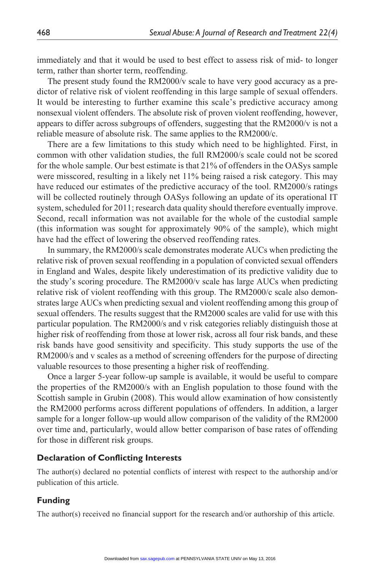immediately and that it would be used to best effect to assess risk of mid- to longer term, rather than shorter term, reoffending.

The present study found the RM2000/v scale to have very good accuracy as a predictor of relative risk of violent reoffending in this large sample of sexual offenders. It would be interesting to further examine this scale's predictive accuracy among nonsexual violent offenders. The absolute risk of proven violent reoffending, however, appears to differ across subgroups of offenders, suggesting that the RM2000/v is not a reliable measure of absolute risk. The same applies to the RM2000/c.

There are a few limitations to this study which need to be highlighted. First, in common with other validation studies, the full RM2000/s scale could not be scored for the whole sample. Our best estimate is that 21% of offenders in the OASys sample were misscored, resulting in a likely net 11% being raised a risk category. This may have reduced our estimates of the predictive accuracy of the tool. RM2000/s ratings will be collected routinely through OASys following an update of its operational IT system, scheduled for 2011; research data quality should therefore eventually improve. Second, recall information was not available for the whole of the custodial sample (this information was sought for approximately 90% of the sample), which might have had the effect of lowering the observed reoffending rates.

In summary, the RM2000/s scale demonstrates moderate AUCs when predicting the relative risk of proven sexual reoffending in a population of convicted sexual offenders in England and Wales, despite likely underestimation of its predictive validity due to the study's scoring procedure. The RM2000/v scale has large AUCs when predicting relative risk of violent reoffending with this group. The RM2000/c scale also demonstrates large AUCs when predicting sexual and violent reoffending among this group of sexual offenders. The results suggest that the RM2000 scales are valid for use with this particular population. The RM2000/s and v risk categories reliably distinguish those at higher risk of reoffending from those at lower risk, across all four risk bands, and these risk bands have good sensitivity and specificity. This study supports the use of the RM2000/s and v scales as a method of screening offenders for the purpose of directing valuable resources to those presenting a higher risk of reoffending.

Once a larger 5-year follow-up sample is available, it would be useful to compare the properties of the RM2000/s with an English population to those found with the Scottish sample in Grubin (2008). This would allow examination of how consistently the RM2000 performs across different populations of offenders. In addition, a larger sample for a longer follow-up would allow comparison of the validity of the RM2000 over time and, particularly, would allow better comparison of base rates of offending for those in different risk groups.

#### **Declaration of Conflicting Interests**

The author(s) declared no potential conflicts of interest with respect to the authorship and/or publication of this article.

#### **Funding**

The author(s) received no financial support for the research and/or authorship of this article.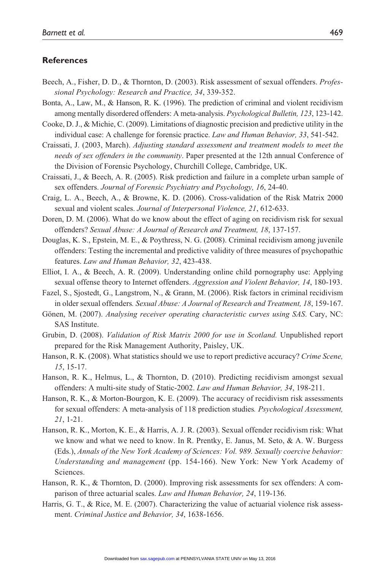#### **References**

- Beech, A., Fisher, D. D., & Thornton, D. (2003). Risk assessment of sexual offenders. *Professional Psychology: Research and Practice, 34*, 339-352.
- Bonta, A., Law, M., & Hanson, R. K. (1996). The prediction of criminal and violent recidivism among mentally disordered offenders: A meta-analysis. *Psychological Bulletin, 123*, 123-142.
- Cooke, D. J., & Michie, C. (2009). Limitations of diagnostic precision and predictive utility in the individual case: A challenge for forensic practice. *Law and Human Behavior, 33*, 541-542.
- Craissati, J. (2003, March). *Adjusting standard assessment and treatment models to meet the needs of sex offenders in the community*. Paper presented at the 12th annual Conference of the Division of Forensic Psychology, Churchill College, Cambridge, UK.
- Craissati, J., & Beech, A. R. (2005). Risk prediction and failure in a complete urban sample of sex offenders. *Journal of Forensic Psychiatry and Psychology, 16*, 24-40.
- Craig, L. A., Beech, A., & Browne, K. D. (2006). Cross-validation of the Risk Matrix 2000 sexual and violent scales. *Journal of Interpersonal Violence, 21*, 612-633.
- Doren, D. M. (2006). What do we know about the effect of aging on recidivism risk for sexual offenders? *Sexual Abuse: A Journal of Research and Treatment, 18*, 137-157.
- Douglas, K. S., Epstein, M. E., & Poythress, N. G. (2008). Criminal recidivism among juvenile offenders: Testing the incremental and predictive validity of three measures of psychopathic features. *Law and Human Behavior, 32*, 423-438.
- Elliot, I. A., & Beech, A. R. (2009). Understanding online child pornography use: Applying sexual offense theory to Internet offenders. *Aggression and Violent Behavior, 14*, 180-193.
- Fazel, S., Sjostedt, G., Langstrom, N., & Grann, M. (2006). Risk factors in criminal recidivism in older sexual offenders*. Sexual Abuse: A Journal of Research and Treatment, 18*, 159-167.
- Gönen, M. (2007). *Analysing receiver operating characteristic curves using SAS*. Cary, NC: SAS Institute.
- Grubin, D. (2008). *Validation of Risk Matrix 2000 for use in Scotland.* Unpublished report prepared for the Risk Management Authority, Paisley, UK.
- Hanson, R. K. (2008). What statistics should we use to report predictive accuracy? *Crime Scene, 15*, 15-17.
- Hanson, R. K., Helmus, L., & Thornton, D. (2010). Predicting recidivism amongst sexual offenders: A multi-site study of Static-2002. *Law and Human Behavior, 34*, 198-211.
- Hanson, R. K., & Morton-Bourgon, K. E. (2009). The accuracy of recidivism risk assessments for sexual offenders: A meta-analysis of 118 prediction studies*. Psychological Assessment, 21*, 1-21.
- Hanson, R. K., Morton, K. E., & Harris, A. J. R. (2003). Sexual offender recidivism risk: What we know and what we need to know. In R. Prentky, E. Janus, M. Seto, & A. W. Burgess (Eds.), *Annals of the New York Academy of Sciences: Vol. 989. Sexually coercive behavior: Understanding and management* (pp. 154-166). New York: New York Academy of Sciences.
- Hanson, R. K., & Thornton, D. (2000). Improving risk assessments for sex offenders: A comparison of three actuarial scales. *Law and Human Behavior, 24*, 119-136.
- Harris, G. T., & Rice, M. E. (2007). Characterizing the value of actuarial violence risk assessment. *Criminal Justice and Behavior, 34*, 1638-1656.